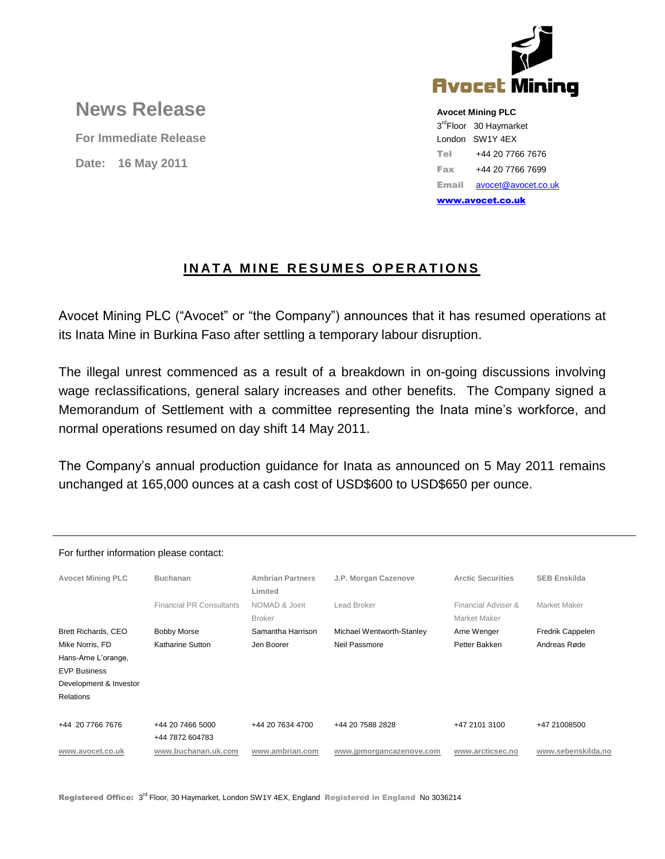

## **News Release**

**For Immediate Release Date: 16 May 2011**

**Avocet Mining PLC**

3<sup>rd</sup>Floor 30 Haymarket London SW1Y 4EX Tel +44 20 7766 7676 Fax +44 20 7766 7699 Email [avocet@avocet.co.uk](mailto:avocet@avocet.co.uk) [www.avocet.co.uk](http://www.avocet.co.uk/)

## **INATA MINE RESUMES OPERATIONS**

Avocet Mining PLC ("Avocet" or "the Company") announces that it has resumed operations at its Inata Mine in Burkina Faso after settling a temporary labour disruption.

The illegal unrest commenced as a result of a breakdown in on-going discussions involving wage reclassifications, general salary increases and other benefits. The Company signed a Memorandum of Settlement with a committee representing the Inata mine's workforce, and normal operations resumed on day shift 14 May 2011.

The Company's annual production guidance for Inata as announced on 5 May 2011 remains unchanged at 165,000 ounces at a cash cost of USD\$600 to USD\$650 per ounce.

| For further implifiation please contact. |                                     |                           |                                     |                     |
|------------------------------------------|-------------------------------------|---------------------------|-------------------------------------|---------------------|
| <b>Buchanan</b>                          | <b>Ambrian Partners</b><br>Limited  | J.P. Morgan Cazenove      | <b>Arctic Securities</b>            | <b>SEB Enskilda</b> |
| <b>Financial PR Consultants</b>          | NOMAD & Joint<br><b>Broker</b>      | Lead Broker               | Financial Adviser &<br>Market Maker | Market Maker        |
| <b>Bobby Morse</b>                       | Samantha Harrison                   | Michael Wentworth-Stanley | Arne Wenger                         | Fredrik Cappelen    |
| Katharine Sutton                         | Jen Boorer                          | Neil Passmore             | Petter Bakken                       | Andreas Røde        |
|                                          |                                     |                           |                                     |                     |
|                                          |                                     |                           |                                     |                     |
|                                          |                                     |                           |                                     |                     |
|                                          |                                     |                           |                                     |                     |
|                                          |                                     |                           |                                     |                     |
|                                          |                                     |                           |                                     | +47 21008500        |
| www.buchanan.uk.com                      | www.ambrian.com                     | www.jpmorgancazenove.com  | www.arcticsec.no                    | www.sebenskilda.no  |
|                                          | +44 20 7466 5000<br>+44 7872 604783 | +44 20 7634 4700          | +44 20 7588 2828                    | +47 2101 3100       |

For further information please contact: